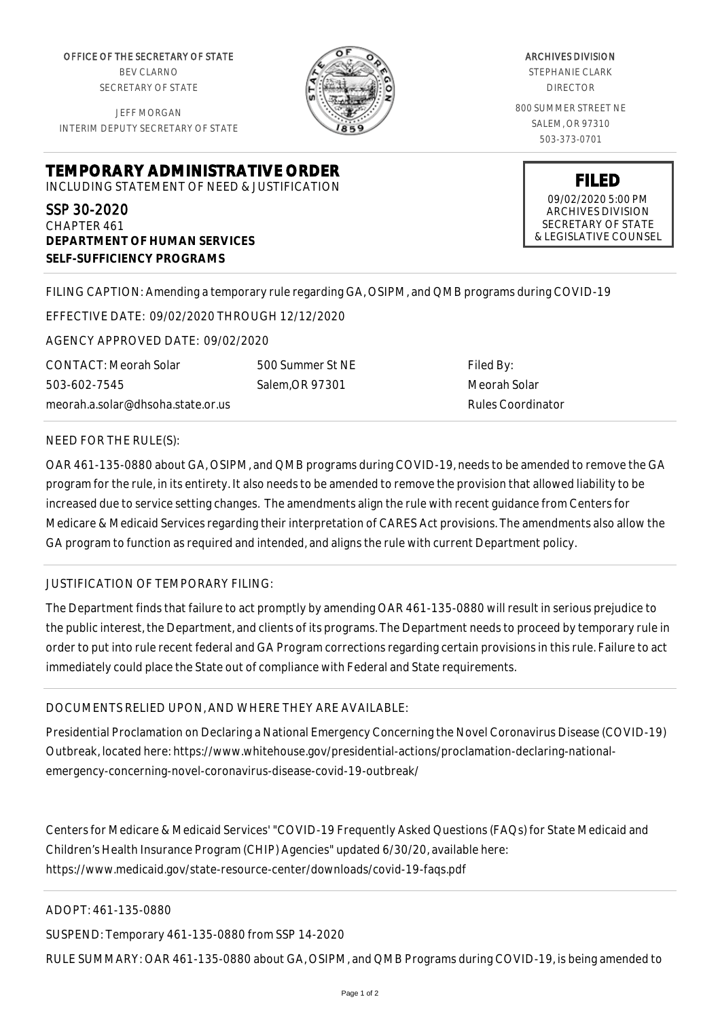OFFICE OF THE SECRETARY OF STATE BEV CLARNO SECRETARY OF STATE

JEFF MORGAN INTERIM DEPUTY SECRETARY OF STATE



ARCHIVES DIVISION STEPHANIE CLARK DIRECTOR 800 SUMMER STREET NE SALEM, OR 97310 503-373-0701

> **FILED** 09/02/2020 5:00 PM ARCHIVES DIVISION SECRETARY OF STATE & LEGISLATIVE COUNSEL

**TEMPORARY ADMINISTRATIVE ORDER** INCLUDING STATEMENT OF NEED & JUSTIFICATION

SSP 30-2020 CHAPTER 461 **DEPARTMENT OF HUMAN SERVICES SELF-SUFFICIENCY PROGRAMS**

FILING CAPTION: Amending a temporary rule regarding GA, OSIPM, and QMB programs during COVID-19

EFFECTIVE DATE: 09/02/2020 THROUGH 12/12/2020

AGENCY APPROVED DATE: 09/02/2020

CONTACT: Meorah Solar 503-602-7545 meorah.a.solar@dhsoha.state.or.us

500 Summer St NE Salem,OR 97301

Filed By: Meorah Solar Rules Coordinator

## NEED FOR THE RULE(S):

OAR 461-135-0880 about GA, OSIPM, and QMB programs during COVID-19, needs to be amended to remove the GA program for the rule, in its entirety. It also needs to be amended to remove the provision that allowed liability to be increased due to service setting changes. The amendments align the rule with recent guidance from Centers for Medicare & Medicaid Services regarding their interpretation of CARES Act provisions. The amendments also allow the GA program to function as required and intended, and aligns the rule with current Department policy.

## JUSTIFICATION OF TEMPORARY FILING:

The Department finds that failure to act promptly by amending OAR 461-135-0880 will result in serious prejudice to the public interest, the Department, and clients of its programs. The Department needs to proceed by temporary rule in order to put into rule recent federal and GA Program corrections regarding certain provisions in this rule. Failure to act immediately could place the State out of compliance with Federal and State requirements.

## DOCUMENTS RELIED UPON, AND WHERE THEY ARE AVAILABLE:

Presidential Proclamation on Declaring a National Emergency Concerning the Novel Coronavirus Disease (COVID-19) Outbreak, located here: https://www.whitehouse.gov/presidential-actions/proclamation-declaring-nationalemergency-concerning-novel-coronavirus-disease-covid-19-outbreak/

Centers for Medicare & Medicaid Services' "COVID-19 Frequently Asked Questions (FAQs) for State Medicaid and Children's Health Insurance Program (CHIP) Agencies" updated 6/30/20, available here: https://www.medicaid.gov/state-resource-center/downloads/covid-19-faqs.pdf

ADOPT: 461-135-0880

SUSPEND: Temporary 461-135-0880 from SSP 14-2020

RULE SUMMARY: OAR 461-135-0880 about GA, OSIPM, and QMB Programs during COVID-19, is being amended to